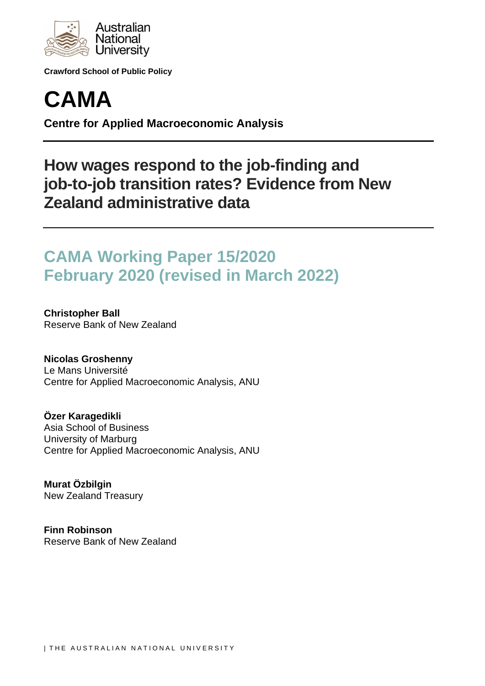

**Crawford School of Public Policy**



**Centre for Applied Macroeconomic Analysis**

# **How wages respond to the job-finding and job-to-job transition rates? Evidence from New Zealand administrative data**

# **CAMA Working Paper 15/2020 February 2020 (revised in March 2022)**

**Christopher Ball** Reserve Bank of New Zealand

**Nicolas Groshenny** Le Mans Université Centre for Applied Macroeconomic Analysis, ANU

**Özer Karagedikli** Asia School of Business University of Marburg Centre for Applied Macroeconomic Analysis, ANU

**Murat Özbilgin** New Zealand Treasury

**Finn Robinson** Reserve Bank of New Zealand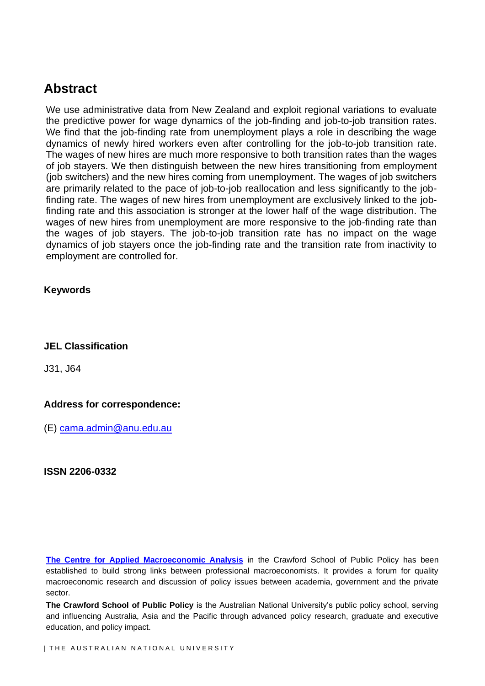## **Abstract**

We use administrative data from New Zealand and exploit regional variations to evaluate the predictive power for wage dynamics of the job-finding and job-to-job transition rates. We find that the job-finding rate from unemployment plays a role in describing the wage dynamics of newly hired workers even after controlling for the job-to-job transition rate. The wages of new hires are much more responsive to both transition rates than the wages of job stayers. We then distinguish between the new hires transitioning from employment (job switchers) and the new hires coming from unemployment. The wages of job switchers are primarily related to the pace of job-to-job reallocation and less significantly to the jobfinding rate. The wages of new hires from unemployment are exclusively linked to the jobfinding rate and this association is stronger at the lower half of the wage distribution. The wages of new hires from unemployment are more responsive to the job-finding rate than the wages of job stayers. The job-to-job transition rate has no impact on the wage dynamics of job stayers once the job-finding rate and the transition rate from inactivity to employment are controlled for.

### **Keywords**

#### **JEL Classification**

J31, J64

#### **Address for correspondence:**

(E) cama.admin@anu.edu.au

**ISSN 2206-0332**

**The Centre for Applied Macroeconomic Analysis** in the Crawford School of Public Policy has been established to build strong links between professional macroeconomists. It provides a forum for quality macroeconomic research and discussion of policy issues between academia, government and the private sector.

**The Crawford School of Public Policy** is the Australian National University's public policy school, serving and influencing Australia, Asia and the Pacific through advanced policy research, graduate and executive education, and policy impact.

I THE AUSTRALIAN NATIONAL UNIVERSITY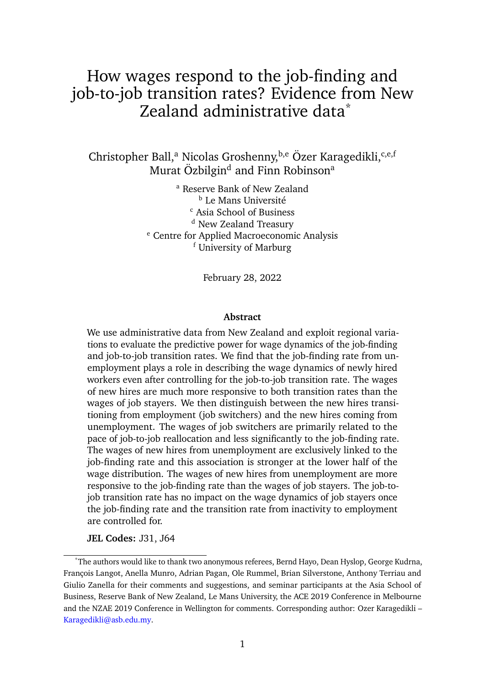# How wages respond to the job-finding and job-to-job transition rates? Evidence from New Zealand administrative data<sup>\*</sup>

Christopher Ball,<sup>a</sup> Nicolas Groshenny,<sup>b,e</sup> Özer Karagedikli,<sup>c,e,f</sup> Murat Özbilgin<sup>d</sup> and Finn Robinson<sup>a</sup>

> <sup>a</sup> Reserve Bank of New Zealand **b** Le Mans Université <sup>c</sup> Asia School of Business <sup>d</sup> New Zealand Treasury <sup>e</sup> Centre for Applied Macroeconomic Analysis <sup>f</sup> University of Marburg

> > February 28, 2022

#### **Abstract**

We use administrative data from New Zealand and exploit regional variations to evaluate the predictive power for wage dynamics of the job-finding and job-to-job transition rates. We find that the job-finding rate from unemployment plays a role in describing the wage dynamics of newly hired workers even after controlling for the job-to-job transition rate. The wages of new hires are much more responsive to both transition rates than the wages of job stayers. We then distinguish between the new hires transitioning from employment (job switchers) and the new hires coming from unemployment. The wages of job switchers are primarily related to the pace of job-to-job reallocation and less significantly to the job-finding rate. The wages of new hires from unemployment are exclusively linked to the job-finding rate and this association is stronger at the lower half of the wage distribution. The wages of new hires from unemployment are more responsive to the job-finding rate than the wages of job stayers. The job-tojob transition rate has no impact on the wage dynamics of job stayers once the job-finding rate and the transition rate from inactivity to employment are controlled for.

**JEL Codes:** J31, J64

<sup>\*</sup>The authors would like to thank two anonymous referees, Bernd Hayo, Dean Hyslop, George Kudrna, François Langot, Anella Munro, Adrian Pagan, Ole Rummel, Brian Silverstone, Anthony Terriau and Giulio Zanella for their comments and suggestions, and seminar participants at the Asia School of Business, Reserve Bank of New Zealand, Le Mans University, the ACE 2019 Conference in Melbourne and the NZAE 2019 Conference in Wellington for comments. Corresponding author: Ozer Karagedikli – Karagedikli@asb.edu.my.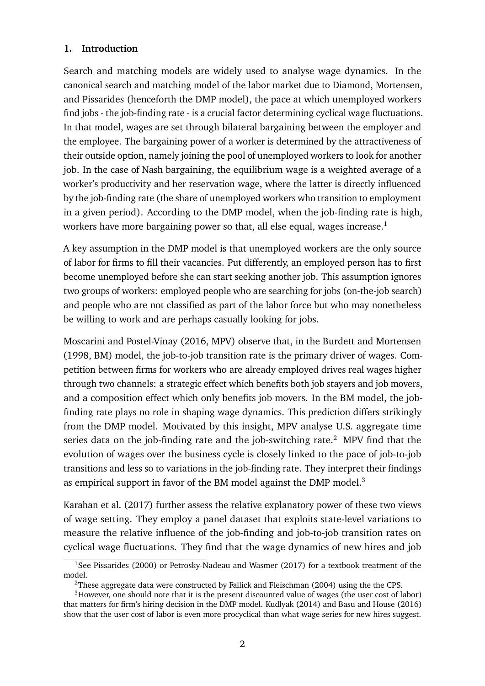### **1. Introduction**

Search and matching models are widely used to analyse wage dynamics. In the canonical search and matching model of the labor market due to Diamond, Mortensen, and Pissarides (henceforth the DMP model), the pace at which unemployed workers find jobs - the job-finding rate - is a crucial factor determining cyclical wage fluctuations. In that model, wages are set through bilateral bargaining between the employer and the employee. The bargaining power of a worker is determined by the attractiveness of their outside option, namely joining the pool of unemployed workers to look for another job. In the case of Nash bargaining, the equilibrium wage is a weighted average of a worker's productivity and her reservation wage, where the latter is directly influenced by the job-finding rate (the share of unemployed workers who transition to employment in a given period). According to the DMP model, when the job-finding rate is high, workers have more bargaining power so that, all else equal, wages increase.<sup>1</sup>

A key assumption in the DMP model is that unemployed workers are the only source of labor for firms to fill their vacancies. Put differently, an employed person has to first become unemployed before she can start seeking another job. This assumption ignores two groups of workers: employed people who are searching for jobs (on-the-job search) and people who are not classified as part of the labor force but who may nonetheless be willing to work and are perhaps casually looking for jobs.

Moscarini and Postel-Vinay (2016, MPV) observe that, in the Burdett and Mortensen (1998, BM) model, the job-to-job transition rate is the primary driver of wages. Competition between firms for workers who are already employed drives real wages higher through two channels: a strategic effect which benefits both job stayers and job movers, and a composition effect which only benefits job movers. In the BM model, the jobfinding rate plays no role in shaping wage dynamics. This prediction differs strikingly from the DMP model. Motivated by this insight, MPV analyse U.S. aggregate time series data on the job-finding rate and the job-switching rate.<sup>2</sup> MPV find that the evolution of wages over the business cycle is closely linked to the pace of job-to-job transitions and less so to variations in the job-finding rate. They interpret their findings as empirical support in favor of the BM model against the DMP model.<sup>3</sup>

Karahan et al. (2017) further assess the relative explanatory power of these two views of wage setting. They employ a panel dataset that exploits state-level variations to measure the relative influence of the job-finding and job-to-job transition rates on cyclical wage fluctuations. They find that the wage dynamics of new hires and job

<sup>&</sup>lt;sup>1</sup>See Pissarides (2000) or Petrosky-Nadeau and Wasmer (2017) for a textbook treatment of the model.

<sup>&</sup>lt;sup>2</sup>These aggregate data were constructed by Fallick and Fleischman (2004) using the the CPS.

<sup>&</sup>lt;sup>3</sup>However, one should note that it is the present discounted value of wages (the user cost of labor) that matters for firm's hiring decision in the DMP model. Kudlyak (2014) and Basu and House (2016) show that the user cost of labor is even more procyclical than what wage series for new hires suggest.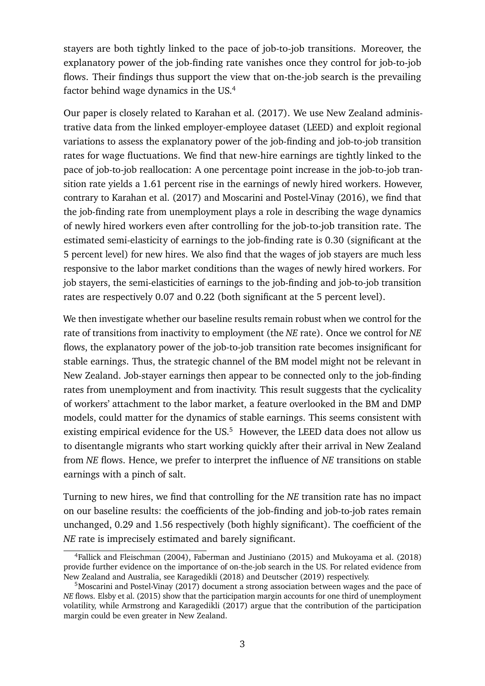stayers are both tightly linked to the pace of job-to-job transitions. Moreover, the explanatory power of the job-finding rate vanishes once they control for job-to-job flows. Their findings thus support the view that on-the-job search is the prevailing factor behind wage dynamics in the US.<sup>4</sup>

Our paper is closely related to Karahan et al. (2017). We use New Zealand administrative data from the linked employer-employee dataset (LEED) and exploit regional variations to assess the explanatory power of the job-finding and job-to-job transition rates for wage fluctuations. We find that new-hire earnings are tightly linked to the pace of job-to-job reallocation: A one percentage point increase in the job-to-job transition rate yields a 1.61 percent rise in the earnings of newly hired workers. However, contrary to Karahan et al. (2017) and Moscarini and Postel-Vinay (2016), we find that the job-finding rate from unemployment plays a role in describing the wage dynamics of newly hired workers even after controlling for the job-to-job transition rate. The estimated semi-elasticity of earnings to the job-finding rate is 0.30 (significant at the 5 percent level) for new hires. We also find that the wages of job stayers are much less responsive to the labor market conditions than the wages of newly hired workers. For job stayers, the semi-elasticities of earnings to the job-finding and job-to-job transition rates are respectively 0.07 and 0.22 (both significant at the 5 percent level).

We then investigate whether our baseline results remain robust when we control for the rate of transitions from inactivity to employment (the *NE* rate). Once we control for *NE* flows, the explanatory power of the job-to-job transition rate becomes insignificant for stable earnings. Thus, the strategic channel of the BM model might not be relevant in New Zealand. Job-stayer earnings then appear to be connected only to the job-finding rates from unemployment and from inactivity. This result suggests that the cyclicality of workers' attachment to the labor market, a feature overlooked in the BM and DMP models, could matter for the dynamics of stable earnings. This seems consistent with existing empirical evidence for the  $US<sup>5</sup>$  However, the LEED data does not allow us to disentangle migrants who start working quickly after their arrival in New Zealand from *NE* flows. Hence, we prefer to interpret the influence of *NE* transitions on stable earnings with a pinch of salt.

Turning to new hires, we find that controlling for the *NE* transition rate has no impact on our baseline results: the coefficients of the job-finding and job-to-job rates remain unchanged, 0.29 and 1.56 respectively (both highly significant). The coefficient of the *NE* rate is imprecisely estimated and barely significant.

<sup>4</sup>Fallick and Fleischman (2004), Faberman and Justiniano (2015) and Mukoyama et al. (2018) provide further evidence on the importance of on-the-job search in the US. For related evidence from New Zealand and Australia, see Karagedikli (2018) and Deutscher (2019) respectively.

<sup>5</sup>Moscarini and Postel-Vinay (2017) document a strong association between wages and the pace of *NE* flows. Elsby et al. (2015) show that the participation margin accounts for one third of unemployment volatility, while Armstrong and Karagedikli (2017) argue that the contribution of the participation margin could be even greater in New Zealand.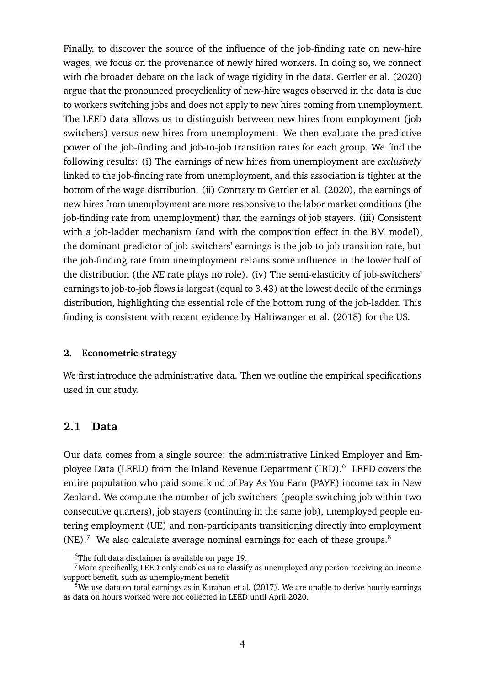Finally, to discover the source of the influence of the job-finding rate on new-hire wages, we focus on the provenance of newly hired workers. In doing so, we connect with the broader debate on the lack of wage rigidity in the data. Gertler et al. (2020) argue that the pronounced procyclicality of new-hire wages observed in the data is due to workers switching jobs and does not apply to new hires coming from unemployment. The LEED data allows us to distinguish between new hires from employment (job switchers) versus new hires from unemployment. We then evaluate the predictive power of the job-finding and job-to-job transition rates for each group. We find the following results: (i) The earnings of new hires from unemployment are *exclusively* linked to the job-finding rate from unemployment, and this association is tighter at the bottom of the wage distribution. (ii) Contrary to Gertler et al. (2020), the earnings of new hires from unemployment are more responsive to the labor market conditions (the job-finding rate from unemployment) than the earnings of job stayers. (iii) Consistent with a job-ladder mechanism (and with the composition effect in the BM model), the dominant predictor of job-switchers' earnings is the job-to-job transition rate, but the job-finding rate from unemployment retains some influence in the lower half of the distribution (the *NE* rate plays no role). (iv) The semi-elasticity of job-switchers' earnings to job-to-job flows is largest (equal to 3.43) at the lowest decile of the earnings distribution, highlighting the essential role of the bottom rung of the job-ladder. This finding is consistent with recent evidence by Haltiwanger et al. (2018) for the US.

#### **2. Econometric strategy**

We first introduce the administrative data. Then we outline the empirical specifications used in our study.

### **2.1 Data**

Our data comes from a single source: the administrative Linked Employer and Employee Data (LEED) from the Inland Revenue Department (IRD).<sup>6</sup> LEED covers the entire population who paid some kind of Pay As You Earn (PAYE) income tax in New Zealand. We compute the number of job switchers (people switching job within two consecutive quarters), job stayers (continuing in the same job), unemployed people entering employment (UE) and non-participants transitioning directly into employment  $(NE).$ <sup>7</sup> We also calculate average nominal earnings for each of these groups.<sup>8</sup>

<sup>6</sup>The full data disclaimer is available on page 19.

 $<sup>7</sup>$ More specifically, LEED only enables us to classify as unemployed any person receiving an income</sup> support benefit, such as unemployment benefit

 $8$ We use data on total earnings as in Karahan et al. (2017). We are unable to derive hourly earnings as data on hours worked were not collected in LEED until April 2020.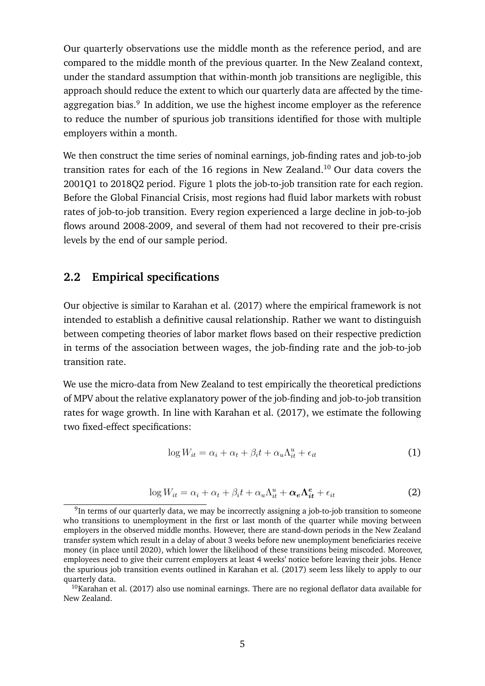Our quarterly observations use the middle month as the reference period, and are compared to the middle month of the previous quarter. In the New Zealand context, under the standard assumption that within-month job transitions are negligible, this approach should reduce the extent to which our quarterly data are affected by the timeaggregation bias.<sup>9</sup> In addition, we use the highest income employer as the reference to reduce the number of spurious job transitions identified for those with multiple employers within a month.

We then construct the time series of nominal earnings, job-finding rates and job-to-job transition rates for each of the 16 regions in New Zealand.<sup>10</sup> Our data covers the 2001Q1 to 2018Q2 period. Figure 1 plots the job-to-job transition rate for each region. Before the Global Financial Crisis, most regions had fluid labor markets with robust rates of job-to-job transition. Every region experienced a large decline in job-to-job flows around 2008-2009, and several of them had not recovered to their pre-crisis levels by the end of our sample period.

## **2.2 Empirical specifications**

Our objective is similar to Karahan et al. (2017) where the empirical framework is not intended to establish a definitive causal relationship. Rather we want to distinguish between competing theories of labor market flows based on their respective prediction in terms of the association between wages, the job-finding rate and the job-to-job transition rate.

We use the micro-data from New Zealand to test empirically the theoretical predictions of MPV about the relative explanatory power of the job-finding and job-to-job transition rates for wage growth. In line with Karahan et al. (2017), we estimate the following two fixed-effect specifications:

$$
\log W_{it} = \alpha_i + \alpha_t + \beta_i t + \alpha_u \Lambda_{it}^u + \epsilon_{it} \tag{1}
$$

$$
\log W_{it} = \alpha_i + \alpha_t + \beta_i t + \alpha_u \Lambda_{it}^u + \alpha_e \Lambda_{it}^e + \epsilon_{it}
$$
 (2)

 $^{9}$ In terms of our quarterly data, we may be incorrectly assigning a job-to-job transition to someone who transitions to unemployment in the first or last month of the quarter while moving between employers in the observed middle months. However, there are stand-down periods in the New Zealand transfer system which result in a delay of about 3 weeks before new unemployment beneficiaries receive money (in place until 2020), which lower the likelihood of these transitions being miscoded. Moreover, employees need to give their current employers at least 4 weeks' notice before leaving their jobs. Hence the spurious job transition events outlined in Karahan et al. (2017) seem less likely to apply to our quarterly data.

 $10$ Karahan et al. (2017) also use nominal earnings. There are no regional deflator data available for New Zealand.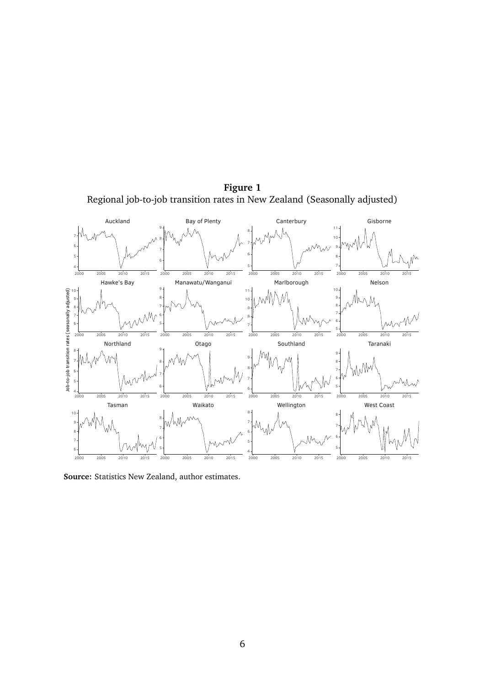**Figure 1** Regional job-to-job transition rates in New Zealand (Seasonally adjusted)



**Source:** Statistics New Zealand, author estimates.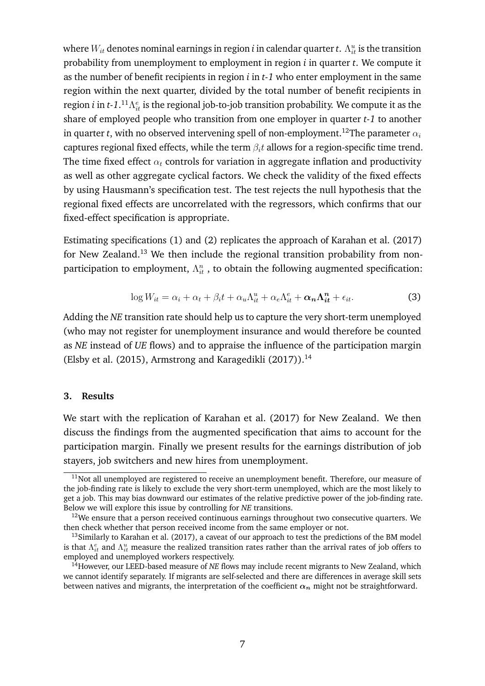where  $W_{it}$  denotes nominal earnings in region  $i$  in calendar quarter  $t$  .  $\Lambda^u_{it}$  is the transition probability from unemployment to employment in region *i* in quarter *t*. We compute it as the number of benefit recipients in region *i* in *t-1* who enter employment in the same region within the next quarter, divided by the total number of benefit recipients in region  $i$  in *t-1*.  $^{11}\Lambda^e_{it}$  is the regional job-to-job transition probability. We compute it as the share of employed people who transition from one employer in quarter *t-1* to another in quarter *t*, with no observed intervening spell of non-employment.<sup>12</sup>The parameter  $\alpha_i$ captures regional fixed effects, while the term  $\beta_i t$  allows for a region-specific time trend. The time fixed effect  $\alpha_t$  controls for variation in aggregate inflation and productivity as well as other aggregate cyclical factors. We check the validity of the fixed effects by using Hausmann's specification test. The test rejects the null hypothesis that the regional fixed effects are uncorrelated with the regressors, which confirms that our fixed-effect specification is appropriate.

Estimating specifications (1) and (2) replicates the approach of Karahan et al. (2017) for New Zealand.<sup>13</sup> We then include the regional transition probability from nonparticipation to employment,  $\Lambda_{it}^{n}$ , to obtain the following augmented specification:

$$
\log W_{it} = \alpha_i + \alpha_t + \beta_i t + \alpha_u \Lambda_{it}^u + \alpha_e \Lambda_{it}^e + \alpha_n \Lambda_{it}^n + \epsilon_{it}.
$$
 (3)

Adding the *NE* transition rate should help us to capture the very short-term unemployed (who may not register for unemployment insurance and would therefore be counted as *NE* instead of *UE* flows) and to appraise the influence of the participation margin (Elsby et al. (2015), Armstrong and Karagedikli  $(2017)$ ).<sup>14</sup>

#### **3. Results**

We start with the replication of Karahan et al. (2017) for New Zealand. We then discuss the findings from the augmented specification that aims to account for the participation margin. Finally we present results for the earnings distribution of job stayers, job switchers and new hires from unemployment.

 $11$ Not all unemployed are registered to receive an unemployment benefit. Therefore, our measure of the job-finding rate is likely to exclude the very short-term unemployed, which are the most likely to get a job. This may bias downward our estimates of the relative predictive power of the job-finding rate. Below we will explore this issue by controlling for *NE* transitions.

 $12$ We ensure that a person received continuous earnings throughout two consecutive quarters. We then check whether that person received income from the same employer or not.

 $13$ Similarly to Karahan et al. (2017), a caveat of our approach to test the predictions of the BM model is that  $\Lambda^e_{it}$  and  $\Lambda^u_{it}$  measure the realized transition rates rather than the arrival rates of job offers to employed and unemployed workers respectively.

<sup>&</sup>lt;sup>14</sup>However, our LEED-based measure of *NE* flows may include recent migrants to New Zealand, which we cannot identify separately. If migrants are self-selected and there are differences in average skill sets between natives and migrants, the interpretation of the coefficient  $\alpha_n$  might not be straightforward.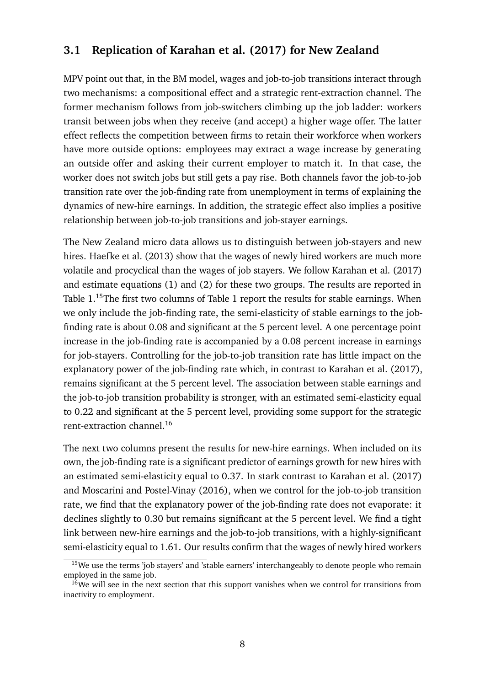## **3.1 Replication of Karahan et al. (2017) for New Zealand**

MPV point out that, in the BM model, wages and job-to-job transitions interact through two mechanisms: a compositional effect and a strategic rent-extraction channel. The former mechanism follows from job-switchers climbing up the job ladder: workers transit between jobs when they receive (and accept) a higher wage offer. The latter effect reflects the competition between firms to retain their workforce when workers have more outside options: employees may extract a wage increase by generating an outside offer and asking their current employer to match it. In that case, the worker does not switch jobs but still gets a pay rise. Both channels favor the job-to-job transition rate over the job-finding rate from unemployment in terms of explaining the dynamics of new-hire earnings. In addition, the strategic effect also implies a positive relationship between job-to-job transitions and job-stayer earnings.

The New Zealand micro data allows us to distinguish between job-stayers and new hires. Haefke et al. (2013) show that the wages of newly hired workers are much more volatile and procyclical than the wages of job stayers. We follow Karahan et al. (2017) and estimate equations (1) and (2) for these two groups. The results are reported in Table 1.<sup>15</sup>The first two columns of Table 1 report the results for stable earnings. When we only include the job-finding rate, the semi-elasticity of stable earnings to the jobfinding rate is about 0.08 and significant at the 5 percent level. A one percentage point increase in the job-finding rate is accompanied by a 0.08 percent increase in earnings for job-stayers. Controlling for the job-to-job transition rate has little impact on the explanatory power of the job-finding rate which, in contrast to Karahan et al. (2017), remains significant at the 5 percent level. The association between stable earnings and the job-to-job transition probability is stronger, with an estimated semi-elasticity equal to 0.22 and significant at the 5 percent level, providing some support for the strategic rent-extraction channel.<sup>16</sup>

The next two columns present the results for new-hire earnings. When included on its own, the job-finding rate is a significant predictor of earnings growth for new hires with an estimated semi-elasticity equal to 0.37. In stark contrast to Karahan et al. (2017) and Moscarini and Postel-Vinay (2016), when we control for the job-to-job transition rate, we find that the explanatory power of the job-finding rate does not evaporate: it declines slightly to 0.30 but remains significant at the 5 percent level. We find a tight link between new-hire earnings and the job-to-job transitions, with a highly-significant semi-elasticity equal to 1.61. Our results confirm that the wages of newly hired workers

 $15$ We use the terms 'job stayers' and 'stable earners' interchangeably to denote people who remain employed in the same job.

<sup>&</sup>lt;sup>16</sup>We will see in the next section that this support vanishes when we control for transitions from inactivity to employment.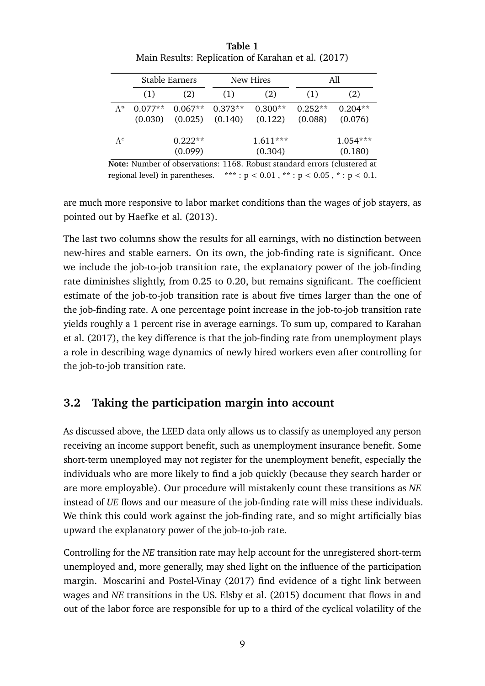|               |                      | Stable Earners               |         | New Hires             |                      | All                   |
|---------------|----------------------|------------------------------|---------|-----------------------|----------------------|-----------------------|
|               | (1)                  | (2)                          | (1)     | (2)                   | (1)                  | (2)                   |
| $\Lambda^{u}$ | $0.077**$<br>(0.030) | $0.067**$ 0.373**<br>(0.025) | (0.140) | $0.300**$<br>(0.122)  | $0.252**$<br>(0.088) | $0.204**$<br>(0.076)  |
| $\Lambda^e$   |                      | $0.222**$<br>(0.099)         |         | $1.611***$<br>(0.304) |                      | $1.054***$<br>(0.180) |

**Table 1** Main Results: Replication of Karahan et al. (2017)

**Note:** Number of observations: 1168. Robust standard errors (clustered at regional level) in parentheses. \*\*\*:  $p < 0.01$ , \*\*:  $p < 0.05$ , \*:  $p < 0.1$ .

are much more responsive to labor market conditions than the wages of job stayers, as pointed out by Haefke et al. (2013).

The last two columns show the results for all earnings, with no distinction between new-hires and stable earners. On its own, the job-finding rate is significant. Once we include the job-to-job transition rate, the explanatory power of the job-finding rate diminishes slightly, from 0.25 to 0.20, but remains significant. The coefficient estimate of the job-to-job transition rate is about five times larger than the one of the job-finding rate. A one percentage point increase in the job-to-job transition rate yields roughly a 1 percent rise in average earnings. To sum up, compared to Karahan et al. (2017), the key difference is that the job-finding rate from unemployment plays a role in describing wage dynamics of newly hired workers even after controlling for the job-to-job transition rate.

## **3.2 Taking the participation margin into account**

As discussed above, the LEED data only allows us to classify as unemployed any person receiving an income support benefit, such as unemployment insurance benefit. Some short-term unemployed may not register for the unemployment benefit, especially the individuals who are more likely to find a job quickly (because they search harder or are more employable). Our procedure will mistakenly count these transitions as *NE* instead of *UE* flows and our measure of the job-finding rate will miss these individuals. We think this could work against the job-finding rate, and so might artificially bias upward the explanatory power of the job-to-job rate.

Controlling for the *NE* transition rate may help account for the unregistered short-term unemployed and, more generally, may shed light on the influence of the participation margin. Moscarini and Postel-Vinay (2017) find evidence of a tight link between wages and *NE* transitions in the US. Elsby et al. (2015) document that flows in and out of the labor force are responsible for up to a third of the cyclical volatility of the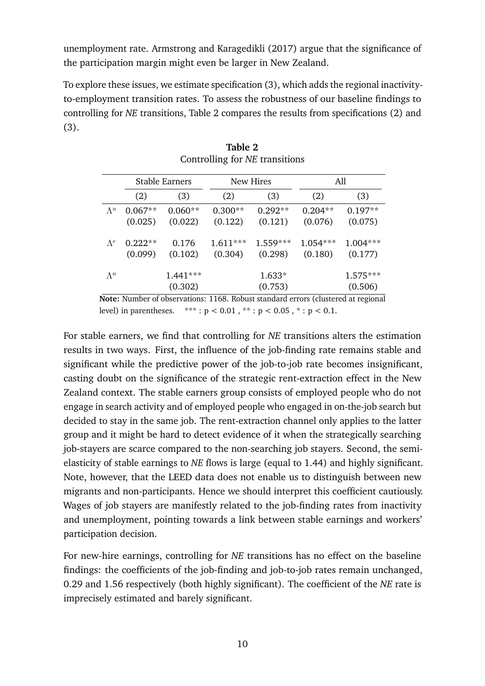unemployment rate. Armstrong and Karagedikli (2017) argue that the significance of the participation margin might even be larger in New Zealand.

To explore these issues, we estimate specification (3), which adds the regional inactivityto-employment transition rates. To assess the robustness of our baseline findings to controlling for *NE* transitions, Table 2 compares the results from specifications (2) and (3).

|             | <b>Stable Earners</b> |            |            | New Hires  | All        |            |
|-------------|-----------------------|------------|------------|------------|------------|------------|
|             | (2)                   | (3)        | (2)        | (3)        | (2)        | (3)        |
| $\Lambda^u$ | $0.067**$             | $0.060**$  | $0.300**$  | $0.292**$  | $0.204**$  | $0.197**$  |
|             | (0.025)               | (0.022)    | (0.122)    | (0.121)    | (0.076)    | (0.075)    |
| $\Lambda^e$ | $0.222**$             | 0.176      | $1.611***$ | $1.559***$ | $1.054***$ | $1.004***$ |
|             | (0.099)               | (0.102)    | (0.304)    | (0.298)    | (0.180)    | (0.177)    |
| $\Lambda^n$ |                       | $1.441***$ |            | 1.633*     |            | $1.575***$ |
|             |                       | (0.302)    |            | (0.753)    |            | (0.506)    |

| Table 2                        |
|--------------------------------|
| Controlling for NE transitions |

**Note:** Number of observations: 1168. Robust standard errors (clustered at regional level) in parentheses. \*\*\*:  $p < 0.01$ , \*\*:  $p < 0.05$ , \*:  $p < 0.1$ .

For stable earners, we find that controlling for *NE* transitions alters the estimation results in two ways. First, the influence of the job-finding rate remains stable and significant while the predictive power of the job-to-job rate becomes insignificant, casting doubt on the significance of the strategic rent-extraction effect in the New Zealand context. The stable earners group consists of employed people who do not engage in search activity and of employed people who engaged in on-the-job search but decided to stay in the same job. The rent-extraction channel only applies to the latter group and it might be hard to detect evidence of it when the strategically searching job-stayers are scarce compared to the non-searching job stayers. Second, the semielasticity of stable earnings to *NE* flows is large (equal to 1.44) and highly significant. Note, however, that the LEED data does not enable us to distinguish between new migrants and non-participants. Hence we should interpret this coefficient cautiously. Wages of job stayers are manifestly related to the job-finding rates from inactivity and unemployment, pointing towards a link between stable earnings and workers' participation decision.

For new-hire earnings, controlling for *NE* transitions has no effect on the baseline findings: the coefficients of the job-finding and job-to-job rates remain unchanged, 0.29 and 1.56 respectively (both highly significant). The coefficient of the *NE* rate is imprecisely estimated and barely significant.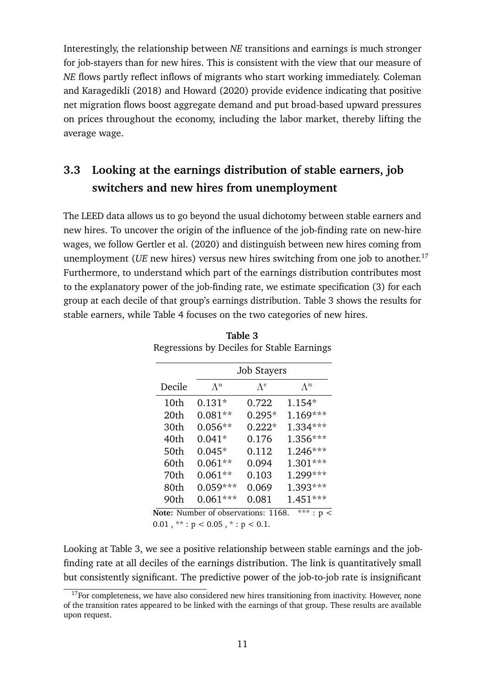Interestingly, the relationship between *NE* transitions and earnings is much stronger for job-stayers than for new hires. This is consistent with the view that our measure of *NE* flows partly reflect inflows of migrants who start working immediately. Coleman and Karagedikli (2018) and Howard (2020) provide evidence indicating that positive net migration flows boost aggregate demand and put broad-based upward pressures on prices throughout the economy, including the labor market, thereby lifting the average wage.

# **3.3 Looking at the earnings distribution of stable earners, job switchers and new hires from unemployment**

The LEED data allows us to go beyond the usual dichotomy between stable earners and new hires. To uncover the origin of the influence of the job-finding rate on new-hire wages, we follow Gertler et al. (2020) and distinguish between new hires coming from unemployment (*UE* new hires) versus new hires switching from one job to another.<sup>17</sup> Furthermore, to understand which part of the earnings distribution contributes most to the explanatory power of the job-finding rate, we estimate specification (3) for each group at each decile of that group's earnings distribution. Table 3 shows the results for stable earners, while Table 4 focuses on the two categories of new hires.

|        |                                          | <b>Job Stayers</b> |               |
|--------|------------------------------------------|--------------------|---------------|
| Decile | $\Lambda^{u}$                            | $\Lambda^e$        | $\Lambda^n$   |
| 10th   | $0.131*$                                 | 0.722              | $1.154*$      |
| 20th   | $0.081**$                                | $0.295*$           | $1.169***$    |
| 30th   | $0.056**$                                | $0.222*$           | 1.334***      |
| 40th   | $0.041*$                                 | 0.176              | 1.356***      |
| 50th   | $0.045*$                                 | 0.112              | $1.246***$    |
| 60th   | $0.061**$                                | 0.094              | $1.301***$    |
| 70th   | $0.061**$                                | 0.103              | 1.299***      |
| 80th   | $0.059***$                               | 0.069              | 1.393***      |
| 90th   | $0.061***$                               | 0.081              | $1.451***$    |
|        | Note: Number of observations: 1168.      |                    | ***<br>: $p<$ |
|        | $0.01$ , **: $p < 0.05$ , *: $p < 0.1$ . |                    |               |

**Table 3** Regressions by Deciles for Stable Earnings

Looking at Table 3, we see a positive relationship between stable earnings and the jobfinding rate at all deciles of the earnings distribution. The link is quantitatively small but consistently significant. The predictive power of the job-to-job rate is insignificant

 $17$  For completeness, we have also considered new hires transitioning from inactivity. However, none of the transition rates appeared to be linked with the earnings of that group. These results are available upon request.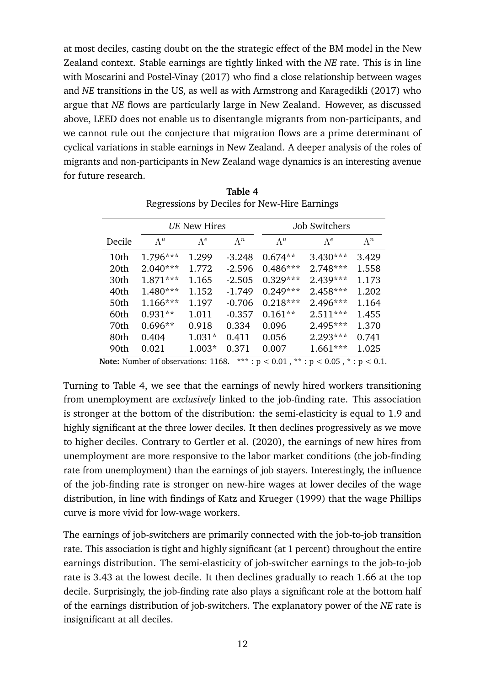at most deciles, casting doubt on the the strategic effect of the BM model in the New Zealand context. Stable earnings are tightly linked with the *NE* rate. This is in line with Moscarini and Postel-Vinay (2017) who find a close relationship between wages and *NE* transitions in the US, as well as with Armstrong and Karagedikli (2017) who argue that *NE* flows are particularly large in New Zealand. However, as discussed above, LEED does not enable us to disentangle migrants from non-participants, and we cannot rule out the conjecture that migration flows are a prime determinant of cyclical variations in stable earnings in New Zealand. A deeper analysis of the roles of migrants and non-participants in New Zealand wage dynamics is an interesting avenue for future research.

|        |             | UE New Hires |             |             | Job Switchers |             |
|--------|-------------|--------------|-------------|-------------|---------------|-------------|
| Decile | $\Lambda^u$ | $\Lambda^e$  | $\Lambda^n$ | $\Lambda^u$ | $\Lambda^e$   | $\Lambda^n$ |
| 10th   | $1.796***$  | 1.299        | $-3.248$    | $0.674**$   | $3.430***$    | 3.429       |
| 20th   | $2.040***$  | 1.772        | $-2.596$    | $0.486***$  | $2.748***$    | 1.558       |
| 30th   | $1.871***$  | 1.165        | $-2.505$    | $0.329***$  | $2.439***$    | 1.173       |
| 40th   | $1.480***$  | 1.152        | $-1.749$    | $0.249***$  | $2.458***$    | 1.202       |
| 50th   | $1.166***$  | 1.197        | $-0.706$    | $0.218***$  | $2.496***$    | 1.164       |
| 60th   | $0.931**$   | 1.011        | $-0.357$    | $0.161**$   | $2.511***$    | 1.455       |
| 70th   | $0.696**$   | 0.918        | 0.334       | 0.096       | $2.495***$    | 1.370       |
| 80th   | 0.404       | $1.031*$     | 0.411       | 0.056       | $2.293***$    | 0.741       |
| 90th   | 0.021       | $1.003*$     | 0.371       | 0.007       | $1.661***$    | 1.025       |

**Table 4** Regressions by Deciles for New-Hire Earnings

**Note:** Number of observations: 1168. \*\*\*:  $p < 0.01$ , \*\*:  $p < 0.05$ , \*:  $p < 0.1$ .

Turning to Table 4, we see that the earnings of newly hired workers transitioning from unemployment are *exclusively* linked to the job-finding rate. This association is stronger at the bottom of the distribution: the semi-elasticity is equal to 1.9 and highly significant at the three lower deciles. It then declines progressively as we move to higher deciles. Contrary to Gertler et al. (2020), the earnings of new hires from unemployment are more responsive to the labor market conditions (the job-finding rate from unemployment) than the earnings of job stayers. Interestingly, the influence of the job-finding rate is stronger on new-hire wages at lower deciles of the wage distribution, in line with findings of Katz and Krueger (1999) that the wage Phillips curve is more vivid for low-wage workers.

The earnings of job-switchers are primarily connected with the job-to-job transition rate. This association is tight and highly significant (at 1 percent) throughout the entire earnings distribution. The semi-elasticity of job-switcher earnings to the job-to-job rate is 3.43 at the lowest decile. It then declines gradually to reach 1.66 at the top decile. Surprisingly, the job-finding rate also plays a significant role at the bottom half of the earnings distribution of job-switchers. The explanatory power of the *NE* rate is insignificant at all deciles.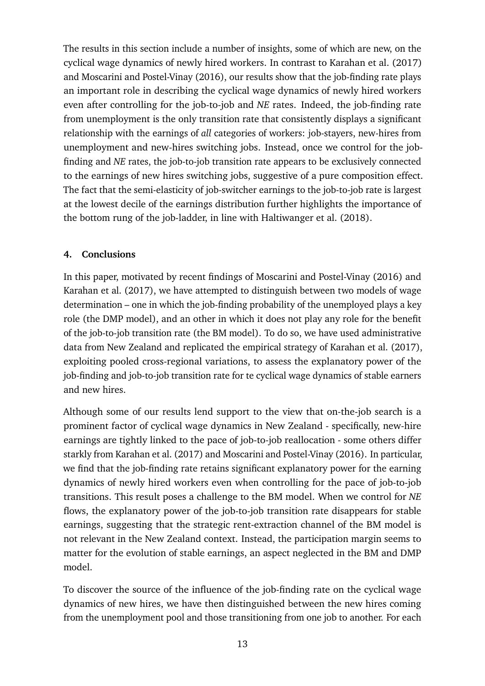The results in this section include a number of insights, some of which are new, on the cyclical wage dynamics of newly hired workers. In contrast to Karahan et al. (2017) and Moscarini and Postel-Vinay (2016), our results show that the job-finding rate plays an important role in describing the cyclical wage dynamics of newly hired workers even after controlling for the job-to-job and *NE* rates. Indeed, the job-finding rate from unemployment is the only transition rate that consistently displays a significant relationship with the earnings of *all* categories of workers: job-stayers, new-hires from unemployment and new-hires switching jobs. Instead, once we control for the jobfinding and *NE* rates, the job-to-job transition rate appears to be exclusively connected to the earnings of new hires switching jobs, suggestive of a pure composition effect. The fact that the semi-elasticity of job-switcher earnings to the job-to-job rate is largest at the lowest decile of the earnings distribution further highlights the importance of the bottom rung of the job-ladder, in line with Haltiwanger et al. (2018).

## **4. Conclusions**

In this paper, motivated by recent findings of Moscarini and Postel-Vinay (2016) and Karahan et al. (2017), we have attempted to distinguish between two models of wage determination – one in which the job-finding probability of the unemployed plays a key role (the DMP model), and an other in which it does not play any role for the benefit of the job-to-job transition rate (the BM model). To do so, we have used administrative data from New Zealand and replicated the empirical strategy of Karahan et al. (2017), exploiting pooled cross-regional variations, to assess the explanatory power of the job-finding and job-to-job transition rate for te cyclical wage dynamics of stable earners and new hires.

Although some of our results lend support to the view that on-the-job search is a prominent factor of cyclical wage dynamics in New Zealand - specifically, new-hire earnings are tightly linked to the pace of job-to-job reallocation - some others differ starkly from Karahan et al. (2017) and Moscarini and Postel-Vinay (2016). In particular, we find that the job-finding rate retains significant explanatory power for the earning dynamics of newly hired workers even when controlling for the pace of job-to-job transitions. This result poses a challenge to the BM model. When we control for *NE* flows, the explanatory power of the job-to-job transition rate disappears for stable earnings, suggesting that the strategic rent-extraction channel of the BM model is not relevant in the New Zealand context. Instead, the participation margin seems to matter for the evolution of stable earnings, an aspect neglected in the BM and DMP model.

To discover the source of the influence of the job-finding rate on the cyclical wage dynamics of new hires, we have then distinguished between the new hires coming from the unemployment pool and those transitioning from one job to another. For each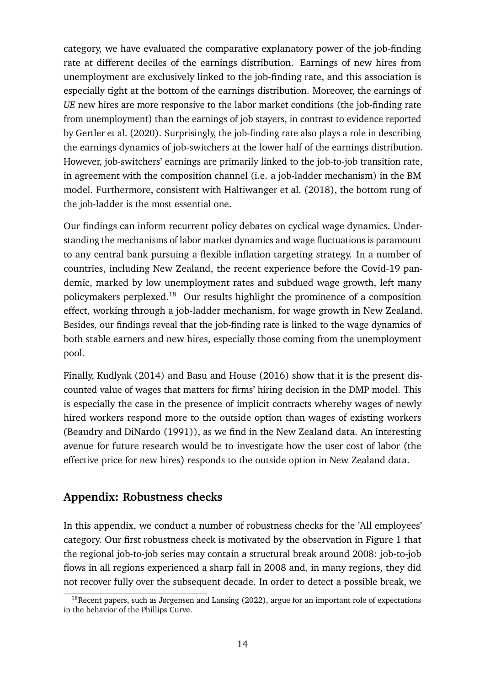category, we have evaluated the comparative explanatory power of the job-finding rate at different deciles of the earnings distribution. Earnings of new hires from unemployment are exclusively linked to the job-finding rate, and this association is especially tight at the bottom of the earnings distribution. Moreover, the earnings of *UE* new hires are more responsive to the labor market conditions (the job-finding rate from unemployment) than the earnings of job stayers, in contrast to evidence reported by Gertler et al. (2020). Surprisingly, the job-finding rate also plays a role in describing the earnings dynamics of job-switchers at the lower half of the earnings distribution. However, job-switchers' earnings are primarily linked to the job-to-job transition rate, in agreement with the composition channel (i.e. a job-ladder mechanism) in the BM model. Furthermore, consistent with Haltiwanger et al. (2018), the bottom rung of the job-ladder is the most essential one.

Our findings can inform recurrent policy debates on cyclical wage dynamics. Understanding the mechanisms of labor market dynamics and wage fluctuations is paramount to any central bank pursuing a flexible inflation targeting strategy. In a number of countries, including New Zealand, the recent experience before the Covid-19 pandemic, marked by low unemployment rates and subdued wage growth, left many policymakers perplexed.<sup>18</sup> Our results highlight the prominence of a composition effect, working through a job-ladder mechanism, for wage growth in New Zealand. Besides, our findings reveal that the job-finding rate is linked to the wage dynamics of both stable earners and new hires, especially those coming from the unemployment pool.

Finally, Kudlyak (2014) and Basu and House (2016) show that it is the present discounted value of wages that matters for firms' hiring decision in the DMP model. This is especially the case in the presence of implicit contracts whereby wages of newly hired workers respond more to the outside option than wages of existing workers (Beaudry and DiNardo (1991)), as we find in the New Zealand data. An interesting avenue for future research would be to investigate how the user cost of labor (the effective price for new hires) responds to the outside option in New Zealand data.

## **Appendix: Robustness checks**

In this appendix, we conduct a number of robustness checks for the 'All employees' category. Our first robustness check is motivated by the observation in Figure 1 that the regional job-to-job series may contain a structural break around 2008: job-to-job flows in all regions experienced a sharp fall in 2008 and, in many regions, they did not recover fully over the subsequent decade. In order to detect a possible break, we

 $18$ Recent papers, such as Jørgensen and Lansing (2022), argue for an important role of expectations in the behavior of the Phillips Curve.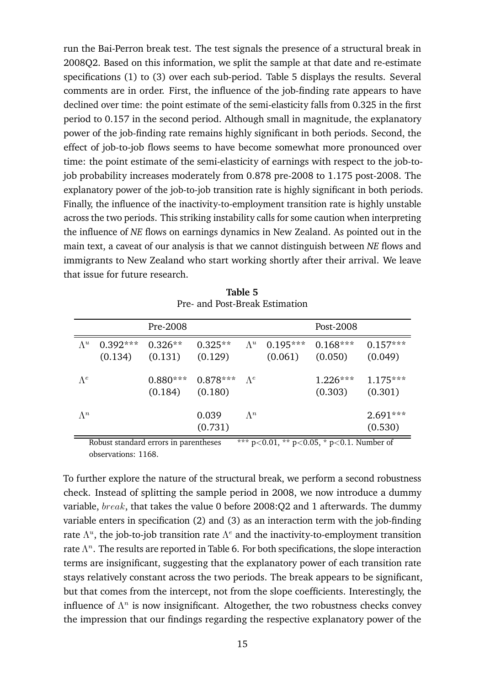run the Bai-Perron break test. The test signals the presence of a structural break in 2008Q2. Based on this information, we split the sample at that date and re-estimate specifications (1) to (3) over each sub-period. Table 5 displays the results. Several comments are in order. First, the influence of the job-finding rate appears to have declined over time: the point estimate of the semi-elasticity falls from 0.325 in the first period to 0.157 in the second period. Although small in magnitude, the explanatory power of the job-finding rate remains highly significant in both periods. Second, the effect of job-to-job flows seems to have become somewhat more pronounced over time: the point estimate of the semi-elasticity of earnings with respect to the job-tojob probability increases moderately from 0.878 pre-2008 to 1.175 post-2008. The explanatory power of the job-to-job transition rate is highly significant in both periods. Finally, the influence of the inactivity-to-employment transition rate is highly unstable across the two periods. This striking instability calls for some caution when interpreting the influence of *NE* flows on earnings dynamics in New Zealand. As pointed out in the main text, a caveat of our analysis is that we cannot distinguish between *NE* flows and immigrants to New Zealand who start working shortly after their arrival. We leave that issue for future research.

|             |                       | Pre-2008             |                                            |             |                       | Post-2008             |                       |
|-------------|-----------------------|----------------------|--------------------------------------------|-------------|-----------------------|-----------------------|-----------------------|
| $\Lambda^u$ | $0.392***$<br>(0.134) | $0.326**$<br>(0.131) | $0.325**$<br>(0.129)                       | $\Lambda^u$ | $0.195***$<br>(0.061) | $0.168***$<br>(0.050) | $0.157***$<br>(0.049) |
| $\Lambda^e$ |                       | (0.184)              | $0.880***$ 0.878*** $\Lambda^e$<br>(0.180) |             |                       | $1.226***$<br>(0.303) | $1.175***$<br>(0.301) |
| $\Lambda^n$ |                       |                      | 0.039<br>(0.731)                           | $\Lambda^n$ |                       |                       | $2.691***$<br>(0.530) |

**Table 5** Pre- and Post-Break Estimation

Robust standard errors in parentheses  $**p<0.01, **p<0.05, *p<0.1$ . Number of observations: 1168.

To further explore the nature of the structural break, we perform a second robustness check. Instead of splitting the sample period in 2008, we now introduce a dummy variable,  $break$ , that takes the value 0 before 2008:Q2 and 1 afterwards. The dummy variable enters in specification (2) and (3) as an interaction term with the job-finding rate  $\Lambda^u$ , the job-to-job transition rate  $\Lambda^e$  and the inactivity-to-employment transition rate  $\Lambda^n$ . The results are reported in Table 6. For both specifications, the slope interaction terms are insignificant, suggesting that the explanatory power of each transition rate stays relatively constant across the two periods. The break appears to be significant, but that comes from the intercept, not from the slope coefficients. Interestingly, the influence of  $\Lambda^n$  is now insignificant. Altogether, the two robustness checks convey the impression that our findings regarding the respective explanatory power of the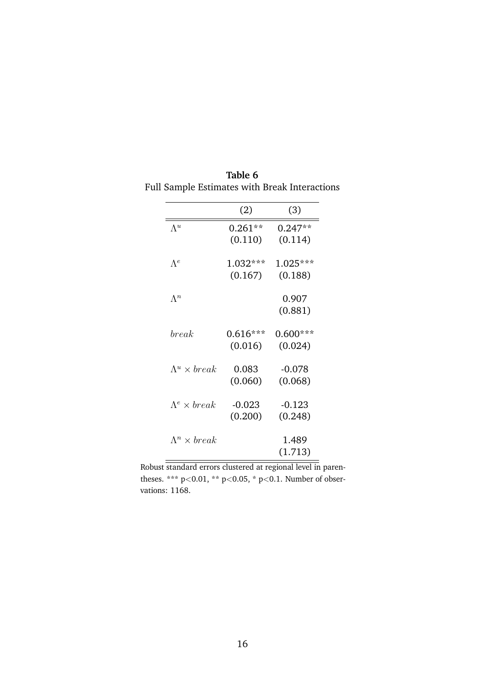|                          | (2)                | (3)        |
|--------------------------|--------------------|------------|
| $\Lambda^u$              | $0.261^{\ast\ast}$ | $0.247**$  |
|                          | (0.110)            | (0.114)    |
| $\Lambda^e$              | $1.032***$         | $1.025***$ |
|                          | (0.167)            | (0.188)    |
| $\Lambda^n$              |                    | 0.907      |
|                          |                    | (0.881)    |
| break                    | $0.616***$         | $0.600***$ |
|                          | (0.016)            | (0.024)    |
| $\Lambda^u \times break$ | 0.083              | $-0.078$   |
|                          | (0.060)            | (0.068)    |
| $\Lambda^e \times break$ | -0.023             | $-0.123$   |
|                          | (0.200)            | (0.248)    |
| $\Lambda^n \times break$ |                    | 1.489      |
|                          |                    | (1.713)    |

**Table 6** Full Sample Estimates with Break Interactions

Robust standard errors clustered at regional level in parentheses. \*\*\*  $p<0.01$ , \*\*  $p<0.05$ , \*  $p<0.1$ . Number of observations: 1168.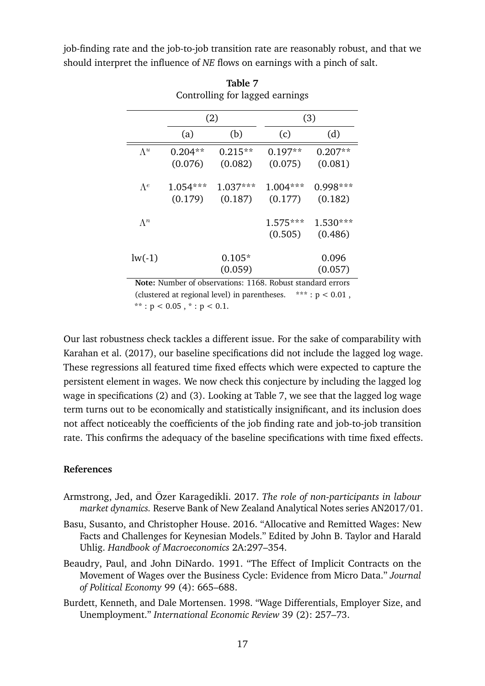job-finding rate and the job-to-job transition rate are reasonably robust, and that we should interpret the influence of *NE* flows on earnings with a pinch of salt.

|             |           | (2)       | (3)        |            |  |
|-------------|-----------|-----------|------------|------------|--|
|             | (a)       | (b)       | (c)        | (d)        |  |
| $\Lambda^u$ | $0.204**$ | $0.215**$ | $0.197**$  | $0.207**$  |  |
|             | (0.076)   | (0.082)   | (0.075)    | (0.081)    |  |
| $\Lambda^e$ | 1.054***  | 1.037***  | $1.004***$ | $0.998***$ |  |
|             | (0.179)   | (0.187)   | (0.177)    | (0.182)    |  |
| $\Lambda^n$ |           |           | $1.575***$ | $1.530***$ |  |
|             |           |           | (0.505)    | (0.486)    |  |
| $lw(-1)$    |           | $0.105*$  |            | 0.096      |  |
|             |           | (0.059)   |            | (0.057)    |  |

**Table 7** Controlling for lagged earnings

(clustered at regional level) in parentheses. \*\*\*:  $p < 0.01$ , \*\*:  $p < 0.05$ , \*:  $p < 0.1$ .

Our last robustness check tackles a different issue. For the sake of comparability with Karahan et al. (2017), our baseline specifications did not include the lagged log wage. These regressions all featured time fixed effects which were expected to capture the persistent element in wages. We now check this conjecture by including the lagged log wage in specifications (2) and (3). Looking at Table 7, we see that the lagged log wage term turns out to be economically and statistically insignificant, and its inclusion does not affect noticeably the coefficients of the job finding rate and job-to-job transition rate. This confirms the adequacy of the baseline specifications with time fixed effects.

#### **References**

- Armstrong, Jed, and Özer Karagedikli. 2017. *The role of non-participants in labour market dynamics.* Reserve Bank of New Zealand Analytical Notes series AN2017/01.
- Basu, Susanto, and Christopher House. 2016. "Allocative and Remitted Wages: New Facts and Challenges for Keynesian Models." Edited by John B. Taylor and Harald Uhlig. *Handbook of Macroeconomics* 2A:297–354.
- Beaudry, Paul, and John DiNardo. 1991. "The Effect of Implicit Contracts on the Movement of Wages over the Business Cycle: Evidence from Micro Data." *Journal of Political Economy* 99 (4): 665–688.
- Burdett, Kenneth, and Dale Mortensen. 1998. "Wage Differentials, Employer Size, and Unemployment." *International Economic Review* 39 (2): 257–73.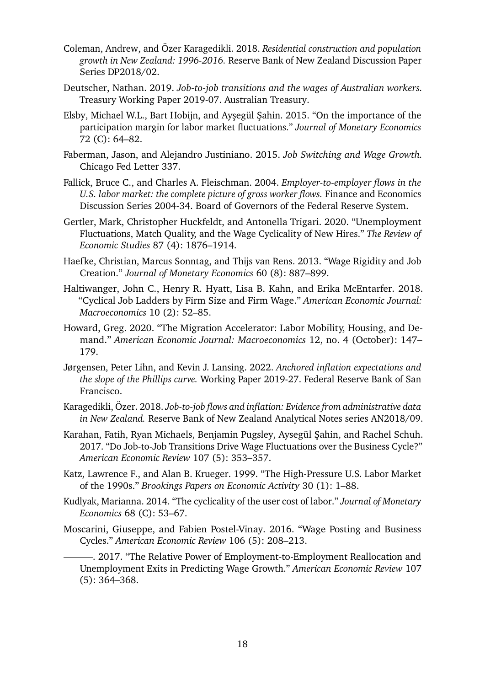- Coleman, Andrew, and Özer Karagedikli. 2018. *Residential construction and population growth in New Zealand: 1996-2016.* Reserve Bank of New Zealand Discussion Paper Series DP2018/02.
- Deutscher, Nathan. 2019. *Job-to-job transitions and the wages of Australian workers.* Treasury Working Paper 2019-07. Australian Treasury.
- Elsby, Michael W.L., Bart Hobijn, and Ayşegül Şahin. 2015. "On the importance of the participation margin for labor market fluctuations." *Journal of Monetary Economics* 72 (C): 64–82.
- Faberman, Jason, and Alejandro Justiniano. 2015. *Job Switching and Wage Growth.* Chicago Fed Letter 337.
- Fallick, Bruce C., and Charles A. Fleischman. 2004. *Employer-to-employer flows in the U.S. labor market: the complete picture of gross worker flows.* Finance and Economics Discussion Series 2004-34. Board of Governors of the Federal Reserve System.
- Gertler, Mark, Christopher Huckfeldt, and Antonella Trigari. 2020. "Unemployment Fluctuations, Match Quality, and the Wage Cyclicality of New Hires." *The Review of Economic Studies* 87 (4): 1876–1914.
- Haefke, Christian, Marcus Sonntag, and Thijs van Rens. 2013. "Wage Rigidity and Job Creation." *Journal of Monetary Economics* 60 (8): 887–899.
- Haltiwanger, John C., Henry R. Hyatt, Lisa B. Kahn, and Erika McEntarfer. 2018. "Cyclical Job Ladders by Firm Size and Firm Wage." *American Economic Journal: Macroeconomics* 10 (2): 52–85.
- Howard, Greg. 2020. "The Migration Accelerator: Labor Mobility, Housing, and Demand." *American Economic Journal: Macroeconomics* 12, no. 4 (October): 147– 179.
- Jørgensen, Peter Lihn, and Kevin J. Lansing. 2022. *Anchored inflation expectations and the slope of the Phillips curve.* Working Paper 2019-27. Federal Reserve Bank of San Francisco.
- Karagedikli, Özer. 2018. *Job-to-job flows and inflation: Evidence from administrative data in New Zealand.* Reserve Bank of New Zealand Analytical Notes series AN2018/09.
- Karahan, Fatih, Ryan Michaels, Benjamin Pugsley, Aysegül Şahin, and Rachel Schuh. 2017. "Do Job-to-Job Transitions Drive Wage Fluctuations over the Business Cycle?" *American Economic Review* 107 (5): 353–357.
- Katz, Lawrence F., and Alan B. Krueger. 1999. "The High-Pressure U.S. Labor Market of the 1990s." *Brookings Papers on Economic Activity* 30 (1): 1–88.
- Kudlyak, Marianna. 2014. "The cyclicality of the user cost of labor." *Journal of Monetary Economics* 68 (C): 53–67.
- Moscarini, Giuseppe, and Fabien Postel-Vinay. 2016. "Wage Posting and Business Cycles." *American Economic Review* 106 (5): 208–213.

. 2017. "The Relative Power of Employment-to-Employment Reallocation and Unemployment Exits in Predicting Wage Growth." *American Economic Review* 107 (5): 364–368.